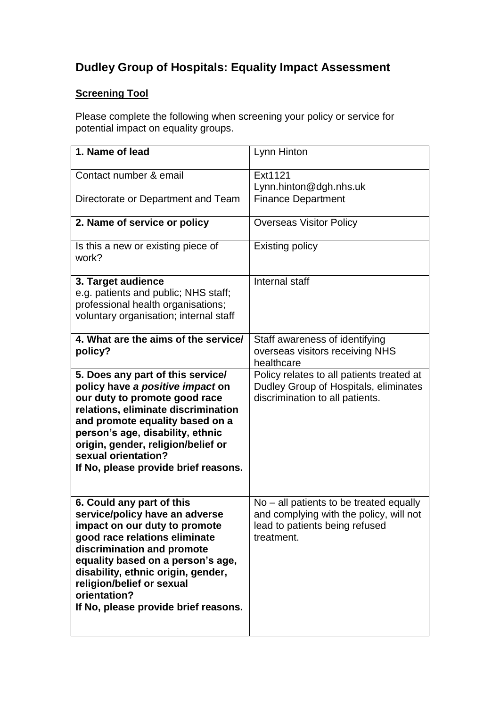## **Dudley Group of Hospitals: Equality Impact Assessment**

## **Screening Tool**

Please complete the following when screening your policy or service for potential impact on equality groups.

| 1. Name of lead                                                                                                                                                                                                                                                                                                             | Lynn Hinton                                                                                                                        |
|-----------------------------------------------------------------------------------------------------------------------------------------------------------------------------------------------------------------------------------------------------------------------------------------------------------------------------|------------------------------------------------------------------------------------------------------------------------------------|
| Contact number & email                                                                                                                                                                                                                                                                                                      | Ext1121<br>Lynn.hinton@dgh.nhs.uk                                                                                                  |
| Directorate or Department and Team                                                                                                                                                                                                                                                                                          | <b>Finance Department</b>                                                                                                          |
| 2. Name of service or policy                                                                                                                                                                                                                                                                                                | <b>Overseas Visitor Policy</b>                                                                                                     |
| Is this a new or existing piece of<br>work?                                                                                                                                                                                                                                                                                 | <b>Existing policy</b>                                                                                                             |
| 3. Target audience<br>e.g. patients and public; NHS staff;<br>professional health organisations;<br>voluntary organisation; internal staff                                                                                                                                                                                  | Internal staff                                                                                                                     |
| 4. What are the aims of the service/<br>policy?                                                                                                                                                                                                                                                                             | Staff awareness of identifying<br>overseas visitors receiving NHS<br>healthcare                                                    |
| 5. Does any part of this service/<br>policy have a positive impact on<br>our duty to promote good race<br>relations, eliminate discrimination<br>and promote equality based on a<br>person's age, disability, ethnic<br>origin, gender, religion/belief or<br>sexual orientation?<br>If No, please provide brief reasons.   | Policy relates to all patients treated at<br>Dudley Group of Hospitals, eliminates<br>discrimination to all patients.              |
| 6. Could any part of this<br>service/policy have an adverse<br>impact on our duty to promote<br>good race relations eliminate<br>discrimination and promote<br>equality based on a person's age,<br>disability, ethnic origin, gender,<br>religion/belief or sexual<br>orientation?<br>If No, please provide brief reasons. | No – all patients to be treated equally<br>and complying with the policy, will not<br>lead to patients being refused<br>treatment. |